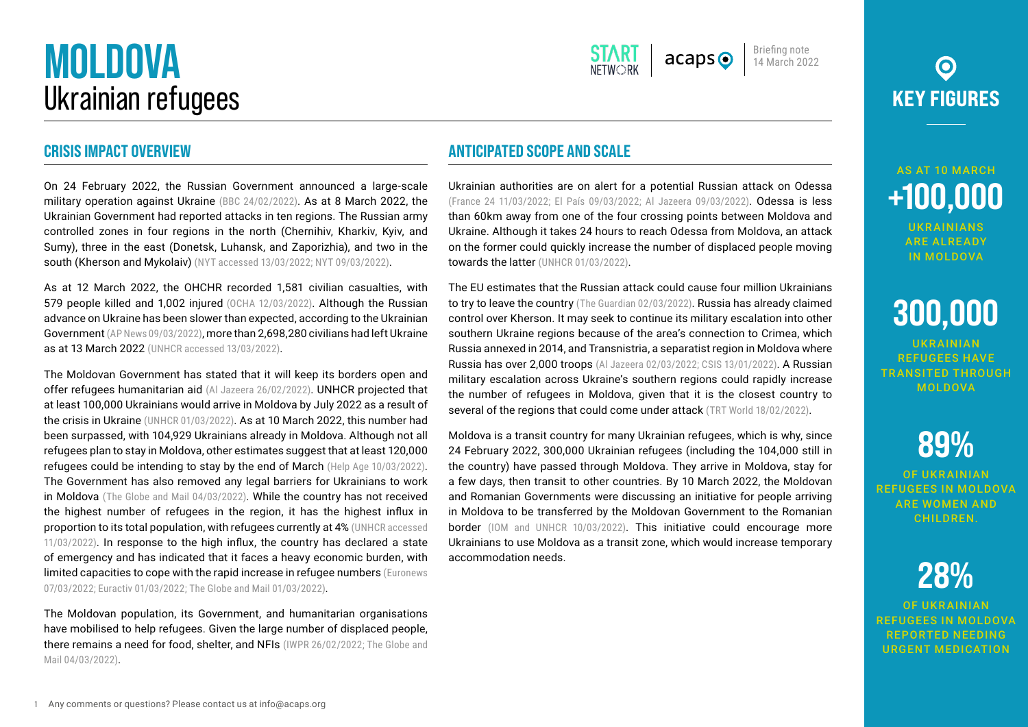## **MOLDOVA** Ukrainian refugees

#### **CRISIS IMPACT OVERVIEW**

On 24 February 2022, the Russian Government announced a large-scale military operation against Ukraine [\(BBC 24/02/2022\)](https://www.bbc.com/news/world-europe-60503037). As at 8 March 2022, the Ukrainian Government had reported attacks in ten regions. The Russian army controlled zones in four regions in the north (Chernihiv, Kharkiv, Kyiv, and Sumy), three in the east (Donetsk, Luhansk, and Zaporizhia), and two in the south (Kherson and Mykolaiv) ([NYT accessed 13/03/2022;](https://www.nytimes.com/interactive/2022/world/europe/ukraine-maps.html) [NYT 09/03/2022](https://www.nytimes.com/article/ukraine-cities.html?)).

As at 12 March 2022, the OHCHR recorded 1,581 civilian casualties, with 579 people killed and 1,002 injured [\(OCHA 12/03/2022\)](https://reliefweb.int/sites/reliefweb.int/files/resources/2022-03-12_Ukraine%20Humanitarian%20Impact%20SitRep_final.pdf). Although the Russian advance on Ukraine has been slower than expected, according to the Ukrainian Government [\(AP News 09/03/2022\)](https://apnews.com/article/russia-ukraine-kyiv-europe-moscow-world-war-ii-81b2f12c177810ee8fef7c4ce832fd6f), more than 2,698,280 civilians had left Ukraine as at 13 March 2022 ([UNHCR accessed 13/03/2022](https://data2.unhcr.org/en/situations/ukraine)).

The Moldovan Government has stated that it will keep its borders open and offer refugees humanitarian aid [\(Al Jazeera 26/02/2022\)](https://www.aljazeera.com/news/2022/2/26/european-countries-open-borders-for-ukrainian-refugees). UNHCR projected that at least 100,000 Ukrainians would arrive in Moldova by July 2022 as a result of the crisis in Ukraine ([UNHCR 01/03/2022\)](https://data2.unhcr.org/en/documents/details/91114). As at 10 March 2022, this number had been surpassed, with 104,929 Ukrainians already in Moldova. Although not all refugees plan to stay in Moldova, other estimates suggest that at least 120,000 refugees could be intending to stay by the end of March ([Help Age 10/03/2022](https://reliefweb.int/sites/reliefweb.int/files/resources/Rapid%20Needs%20of%20Older%20Refugees%20in%20Moldova%20-%2010-03-22%20-%203-Pager.pdf)). The Government has also removed any legal barriers for Ukrainians to work in Moldova ([The Globe and Mail 04/03/2022](https://www.theglobeandmail.com/world/article-ukraine-refugees/)). While the country has not received the highest number of refugees in the region, it has the highest influx in proportion to its total population, with refugees currently at 4% ([UNHCR accessed](https://data2.unhcr.org/en/situations/ukraine) [11/03/2022](https://data2.unhcr.org/en/situations/ukraine)). In response to the high influx, the country has declared a state of emergency and has indicated that it faces a heavy economic burden, with limited capacities to cope with the rapid increase in refugee numbers ([Euronews](https://www.euronews.com/my-europe/2022/03/07/moldova-faces-humanitarian-crisis-says-pm-needs-urgent-financial-aid) [07/03/2022;](https://www.euronews.com/my-europe/2022/03/07/moldova-faces-humanitarian-crisis-says-pm-needs-urgent-financial-aid) [Euractiv 01/03/2022](https://www.euractiv.com/section/politics/short_news/lithuania-ready-to-accept-up-to-2000-ukrainians-from-moldova/); [The Globe and Mail 01/03/2022\)](https://www.theglobeandmail.com/world/article-for-tiny-poor-moldova-welcoming-ukrainians-combines-kindness-with/).

The Moldovan population, its Government, and humanitarian organisations have mobilised to help refugees. Given the large number of displaced people, there remains a need for food, shelter, and NFIs ([IWPR 26/02/2022;](https://iwpr.net/global-voices/moldova-mobilises-ukrainian-refugees) [The Globe and](https://www.theglobeandmail.com/world/article-ukraine-refugees/) [Mail 04/03/2022\)](https://www.theglobeandmail.com/world/article-ukraine-refugees/).

#### **ANTICIPATED SCOPE AND SCALE**

Ukrainian authorities are on alert for a potential Russian attack on Odessa ([France 24 11/03/2022](https://www.france24.com/en/europe/20220311-we-won-t-be-welcoming-the-russians-with-roses-odesa-prepares-for-an-attack); [El País 09/03/2022;](https://english.elpais.com/international/2022-03-10/odessa-where-music-plays-amid-looming-threat-of-russian-attack.html) [Al Jazeera 09/03/2022\)](https://www.aljazeera.com/news/2022/3/9/russia-ukraine-war-the-battle-for-odesa). Odessa is less than 60km away from one of the four crossing points between Moldova and Ukraine. Although it takes 24 hours to reach Odessa from Moldova, an attack on the former could quickly increase the number of displaced people moving towards the latter ([UNHCR 01/03/2022\)](https://www.unhcr.org/news/briefing/2022/3/621deda74/unhcr-mobilizing-aid-forcibly-displaced-ukraine-neighbouring-countries.html).

The EU estimates that the Russian attack could cause four million Ukrainians to try to leave the country ([The Guardian 02/03/2022](https://www.theguardian.com/world/2022/mar/02/ukraine-refugees-right-to-live-in-eu-plan)). Russia has already claimed control over Kherson. It may seek to continue its military escalation into other southern Ukraine regions because of the area's connection to Crimea, which Russia annexed in 2014, and Transnistria, a separatist region in Moldova where Russia has over 2,000 troops ([Al Jazeera 02/03/2022;](https://www.aljazeera.com/news/2022/3/2/russian-military-says-has-control-of-kherson-in-southern-ukraine) [CSIS 13/01/2022\)](https://www.csis.org/analysis/russias-possible-invasion-ukraine). A Russian military escalation across Ukraine's southern regions could rapidly increase the number of refugees in Moldova, given that it is the closest country to several of the regions that could come under attack ([TRT World 18/02/2022\)](https://www.trtworld.com/magazine/how-a-tiny-breakaway-state-called-transnistria-can-alter-the-ukraine-crisis-54894).

Moldova is a transit country for many Ukrainian refugees, which is why, since 24 February 2022, 300,000 Ukrainian refugees (including the 104,000 still in the country) have passed through Moldova. They arrive in Moldova, stay for a few days, then transit to other countries. By 10 March 2022, the Moldovan and Romanian Governments were discussing an initiative for people arriving in Moldova to be transferred by the Moldovan Government to the Romanian border [\(IOM and UNHCR 10/03/2022\)](https://reliefweb.int/report/moldova/un-welcomes-and-supports-initiative-fast-track-transfer-people-fleeing-ukraine). This initiative could encourage more Ukrainians to use Moldova as a transit zone, which would increase temporary accommodation needs.

### $\odot$ **KEY FIGURES**

Briefing note 14 March 2022

 $acans<sub>o</sub>$ 

### AS AT 10 MARCH **+100,000**

UKRAINIANS ARE ALREADY IN MOLDOVA

# **300,000**

UKRAINIAN REFUGEES HAVE TRANSITED THROUGH MOLDOVA

### **89%**

OF UKRAINIAN REFUGEES IN MOLDOVA ARE WOMEN AND **CHILDREN** 

### **28%**

OF UKRAINIAN REFUGEES IN MOLDOVA REPORTED NEEDING URGENT MEDICATION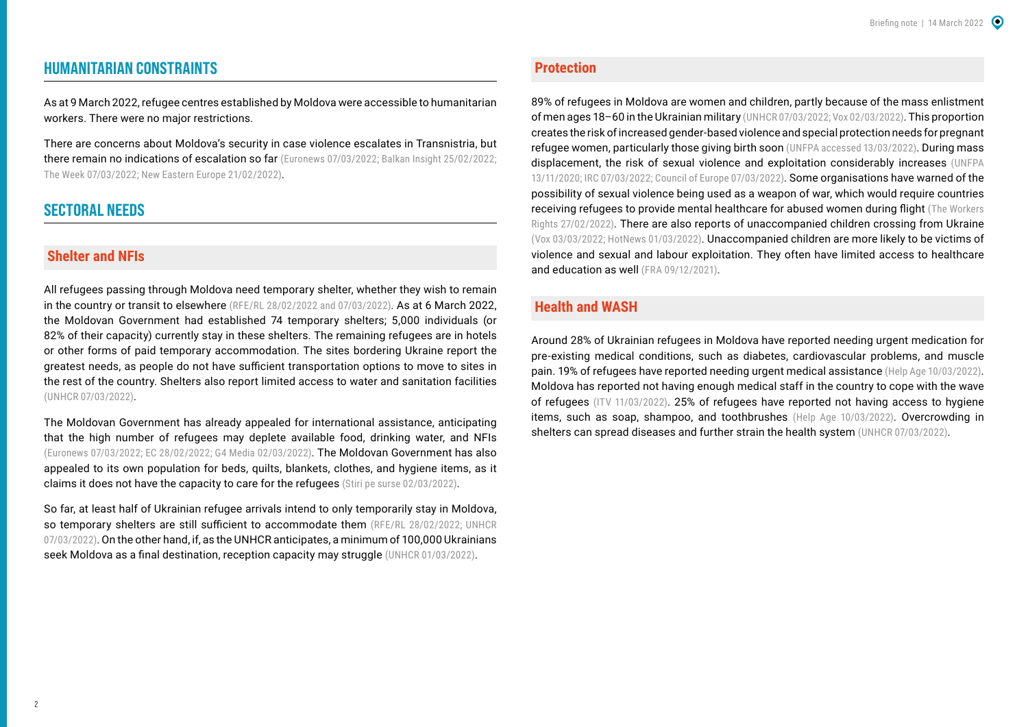#### **HUMANITARIAN CONSTRAINTS**

As at 9 March 2022, refugee centres established by Moldova were accessible to humanitarian workers. There were no major restrictions.

There are concerns about Moldova's security in case violence escalates in Transnistria, but there remain no indications of escalation so far ([Euronews 07/03/2022;](https://www.euronews.com/my-europe/2022/03/07/moldova-faces-humanitarian-crisis-says-pm-needs-urgent-financial-aid) [Balkan Insight 25/02/2022](https://balkaninsight.com/2022/02/25/moldova-concerned-about-possible-attack-from-russian-backed-region/); [The Week 07/03/2022](https://www.theweek.co.uk/news/world-news/955946/is-moldova-next-on-russias-target-list); [New Eastern Europe 21/02/2022\)](https://neweasterneurope.eu/2022/02/21/could-transnistria-become-the-next-victim-of-russian-aggression/).

#### **SECTORAL NEEDS**

#### **Shelter and NFIs**

All refugees passing through Moldova need temporary shelter, whether they wish to remain in the country or transit to elsewhere ([RFE/RL 28/02/2022 and](https://moldova.europalibera.org/a/cum-%C3%AEi-%C3%AEnt%C3%A2mpin%C4%83m-pe-refugia%C8%9Bii-ucraineni-/31728596.html) [07/03/2022\)](https://moldova.europalibera.org/a/strategii-%C3%AEn-criza-refugia%C8%9Bilor-de-la-g%C4%83zduire-la-coridoare-verzi/31740394.html). As at 6 March 2022. the Moldovan Government had established 74 temporary shelters; 5,000 individuals (or 82% of their capacity) currently stay in these shelters. The remaining refugees are in hotels or other forms of paid temporary accommodation. The sites bordering Ukraine report the greatest needs, as people do not have sufficient transportation options to move to sites in the rest of the country. Shelters also report limited access to water and sanitation facilities ([UNHCR 07/03/2022\)](https://reliefweb.int/sites/reliefweb.int/files/resources/Ukraine%20Situation-Inter-Agency%20Update%20Moldova-7%20March%202022.pdf).

The Moldovan Government has already appealed for international assistance, anticipating that the high number of refugees may deplete available food, drinking water, and NFIs ([Euronews 07/03/2022](https://www.euronews.com/my-europe/2022/03/07/moldova-faces-humanitarian-crisis-says-pm-needs-urgent-financial-aid); [EC 28/02/2022](https://ec.europa.eu/commission/presscorner/detail/es/mex_22_1464); [G4 Media 02/03/2022](https://www.g4media.ro/moldova-solicita-ajutor-international-pentru-gestionarea-refugiatilor.html)). The Moldovan Government has also appealed to its own population for beds, quilts, blankets, clothes, and hygiene items, as it claims it does not have the capacity to care for the refugees ([Stiri pe surse 02/03/2022\)](https://www.stiripesurse.ro/produse-stranse-prin-platforma-ucraina-impreuna-ajutam-mai-mult-la-centrele-de-refugiati-din-moldova_2268585.html).

So far, at least half of Ukrainian refugee arrivals intend to only temporarily stay in Moldova, so temporary shelters are still sufficient to accommodate them [\(RFE/RL 28/02/2022;](https://moldova.europalibera.org/a/cum-%C3%AEi-%C3%AEnt%C3%A2mpin%C4%83m-pe-refugia%C8%9Bii-ucraineni-/31728596.html) UNHCR [07/03/2022\)](https://reliefweb.int/sites/reliefweb.int/files/resources/Ukraine%20Situation-Inter-Agency%20Update%20Moldova-7%20March%202022.pdf). On the other hand, if, as the UNHCR anticipates, a minimum of 100,000 Ukrainians seek Moldova as a final destination, reception capacity may struggle ([UNHCR 01/03/2022](https://data2.unhcr.org/en/documents/details/91114)).

#### **Protection**

89% of refugees in Moldova are women and children, partly because of the mass enlistment of men ages 18–60 in the Ukrainian military [\(UNHCR 07/03/2022;](https://reliefweb.int/sites/reliefweb.int/files/resources/Ukraine%20Situation-Inter-Agency%20Update%20Moldova-7%20March%202022.pdf) [Vox 02/03/2022](https://www.vox.com/22954721/ukraine-refugee-poland-moldova-europe)). This proportion creates the risk of increased gender-based violence and special protection needs for pregnant refugee women, particularly those giving birth soon ([UNFPA accessed 13/03/2022\)](https://www.unfpa.org/ukraine-conflict). During mass displacement, the risk of sexual violence and exploitation considerably increases ([UNFPA](https://www.unfpa.org/news/ukraine-steadfast-tackling-gender-based-violence-despite-pandemic-related-increases)  [13/11/2020](https://www.unfpa.org/news/ukraine-steadfast-tackling-gender-based-violence-despite-pandemic-related-increases); [IRC 07/03/2022](https://www.rescue.org/press-release/over-15-million-people-flee-ukraine-women-and-children-increased-risk-exploitation-and); [Council of Europe 07/03/2022](https://www.coe.int/en/web/portal/-/war-in-ukraine-protecting-women-and-girls)). Some organisations have warned of the possibility of sexual violence being used as a weapon of war, which would require countries receiving refugees to provide mental healthcare for abused women during flight ([The Workers](https://www.theworkersrights.com/sexual-violence-as-weapon-of-war-to-rise-after-the-russian-invasion-of-ukraine-campaigners-warn/)  [Rights 27/02/2022](https://www.theworkersrights.com/sexual-violence-as-weapon-of-war-to-rise-after-the-russian-invasion-of-ukraine-campaigners-warn/)). There are also reports of unaccompanied children crossing from Ukraine ([Vox 03/03/2022](https://www.vox.com/22954721/ukraine-refugee-poland-moldova-europe); [HotNews 01/03/2022\)](https://www.hotnews.ro/stiri-meetyourmep-25401307-victor-negrescu-europarlamentar-uniunea-europeana-trebui-creeze-coridor-umanitar-urgenta-pentru-familiile-copii-orfanii-copiii-neinsotiti-parinti.htm). Unaccompanied children are more likely to be victims of violence and sexual and labour exploitation. They often have limited access to healthcare and education as well ([FRA 09/12/2021\)](https://fra.europa.eu/en/news/2021/better-protection-unaccompanied-migrant-children).

#### **Health and WASH**

Around 28% of Ukrainian refugees in Moldova have reported needing urgent medication for pre-existing medical conditions, such as diabetes, cardiovascular problems, and muscle pain. 19% of refugees have reported needing urgent medical assistance [\(Help Age 10/03/2022\)](https://reliefweb.int/sites/reliefweb.int/files/resources/Rapid%20Needs%20of%20Older%20Refugees%20in%20Moldova%20-%2010-03-22%20-%203-Pager.pdf). Moldova has reported not having enough medical staff in the country to cope with the wave of refugees ([ITV 11/03/2022\)](https://www.itv.com/news/2022-03-11/moldova-close-to-breaking-point-as-ukrainian-refugees-arrive-fleeing-war). 25% of refugees have reported not having access to hygiene items, such as soap, shampoo, and toothbrushes ([Help Age 10/03/2022](https://reliefweb.int/sites/reliefweb.int/files/resources/Rapid%20Needs%20of%20Older%20Refugees%20in%20Moldova%20-%2010-03-22%20-%203-Pager.pdf)). Overcrowding in shelters can spread diseases and further strain the health system ([UNHCR 07/03/2022](https://reliefweb.int/sites/reliefweb.int/files/resources/Ukraine%20Situation-Inter-Agency%20Update%20Moldova-7%20March%202022.pdf)).